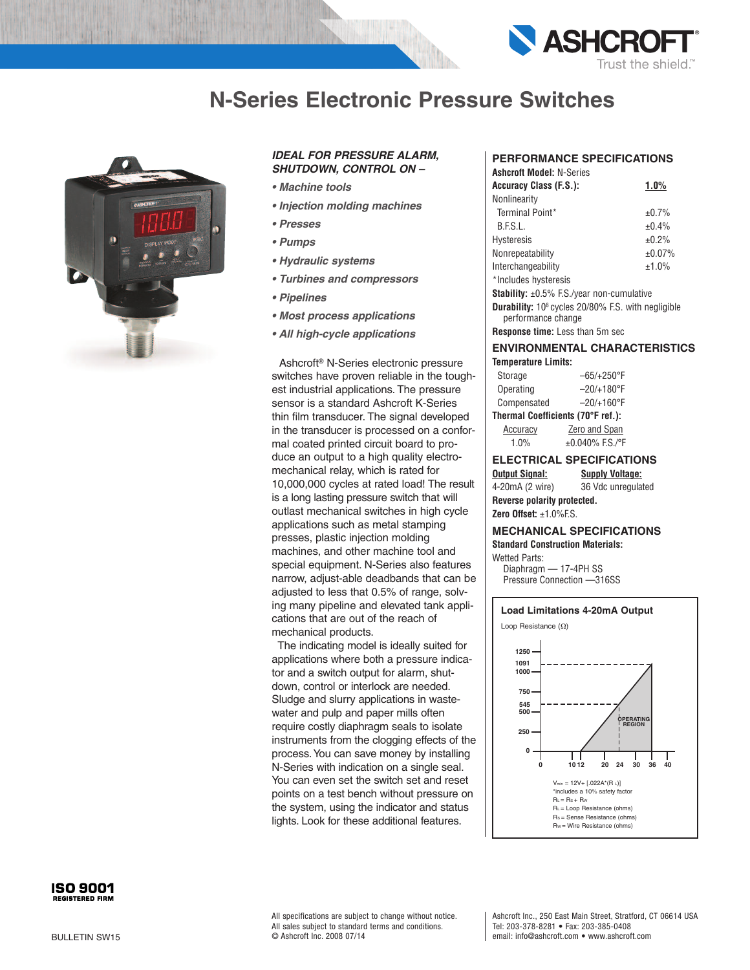

# **N-Series Electronic Pressure Switches**



### *IDEAL FOR PRESSURE ALARM, SHUTDOWN, CONTROL ON –*

- *• Machine tools*
- *• Injection molding machines*
- *• Presses*
- *• Pumps*
- *• Hydraulic systems*
- *• Turbines and compressors*
- *• Pipelines*
- *• Most process applications*
- *• All high-cycle applications*

Ashcroft ® N-Series electronic pressure switches have proven reliable in the toughest industrial applications. The pressure sensor is a standard Ashcroft K-Series thin film transducer. The signal developed in the transducer is processed on a conformal coated printed circuit board to produce an output to a high quality electromechanical relay, which is rated for 10,000,000 cycles at rated load! The result is a long lasting pressure switch that will outlast mechanical switches in high cycle applications such as metal stamping presses, plastic injection molding machines, and other machine tool and special equipment. N-Series also features narrow, adjust-able deadbands that can be adjusted to less that 0.5% of range, solving many pipeline and elevated tank applications that are out of the reach of mechanical products.

The indicating model is ideally suited for applications where both a pressure indicator and a switch output for alarm, shutdown, control or interlock are needed. Sludge and slurry applications in wastewater and pulp and paper mills often require costly diaphragm seals to isolate instruments from the clogging effects of the process.You can save money by installing N-Series with indication on a single seal. You can even set the switch set and reset points on a test bench without pressure on the system, using the indicator and status lights. Look for these additional features.

### **PERFORMANCE SPECIFICATIONS**

| <b>Ashcroft Model: N-Series</b>                        |        |
|--------------------------------------------------------|--------|
| Accuracy Class (F.S.):                                 | 1.0%   |
| Nonlinearity                                           |        |
| Terminal Point*                                        | ±0.7%  |
| B.F.S.L.                                               | ±0.4%  |
| Hysteresis                                             | ±0.2%  |
| Nonrepeatability                                       | ±0.07% |
| Interchangeability                                     | ±1.0%  |
| *Includes hysteresis                                   |        |
| <b>Stability:</b> $\pm 0.5\%$ F.S./year non-cumulative |        |
|                                                        |        |

**Durability:** 108 cycles 20/80% F.S. with negligible performance change

**Response time:** Less than 5m sec

#### **ENVIRONMENTAL CHARACTERISTICS Temperature Limits:**

| Storage                           | $-65/+250$ °F       |  |
|-----------------------------------|---------------------|--|
| Operating                         | $-20/+180^{\circ}F$ |  |
| Compensated                       | $-20/+160^{\circ}F$ |  |
| Thermal Coefficients (70°F ref.): |                     |  |

Accuracy **Zero and Span** 

1.0% ±0.040% F.S./°F

## **ELECTRICAL SPECIFICATIONS**

**Output Signal: Supply Voltage:** 4-20mA (2 wire) 36 Vdc unregulated **Reverse polarity protected.**

```
Zero Offset: ±1.0%F.S.
```
#### **MECHANICAL SPECIFICATIONS Standard Construction Materials:**

Wetted Parts: Diaphragm — 17-4PH SS Pressure Connection —316SS